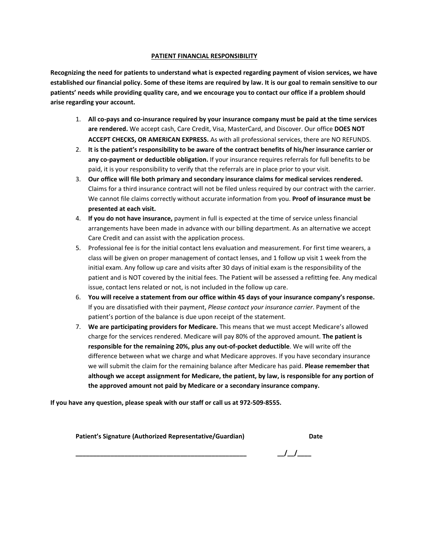## **PATIENT FINANCIAL RESPONSIBILITY**

**Recognizing the need for patients to understand what is expected regarding payment of vision services, we have established our financial policy. Some of these items are required by law. It is our goal to remain sensitive to our patients' needs while providing quality care, and we encourage you to contact our office if a problem should arise regarding your account.**

- 1. **All co-pays and co-insurance required by your insurance company must be paid at the time services are rendered.** We accept cash, Care Credit, Visa, MasterCard, and Discover. Our office **DOES NOT ACCEPT CHECKS, OR AMERICAN EXPRESS.** As with all professional services, there are NO REFUNDS.
- 2. **It is the patient's responsibility to be aware of the contract benefits of his/her insurance carrier or any co-payment or deductible obligation.** If your insurance requires referrals for full benefits to be paid, it is your responsibility to verify that the referrals are in place prior to your visit.
- 3. **Our office will file both primary and secondary insurance claims for medical services rendered.** Claims for a third insurance contract will not be filed unless required by our contract with the carrier. We cannot file claims correctly without accurate information from you. **Proof of insurance must be presented at each visit.**
- 4. **If you do not have insurance,** payment in full is expected at the time of service unless financial arrangements have been made in advance with our billing department. As an alternative we accept Care Credit and can assist with the application process.
- 5. Professional fee is for the initial contact lens evaluation and measurement. For first time wearers, a class will be given on proper management of contact lenses, and 1 follow up visit 1 week from the initial exam. Any follow up care and visits after 30 days of initial exam is the responsibility of the patient and is NOT covered by the initial fees. The Patient will be assessed a refitting fee. Any medical issue, contact lens related or not, is not included in the follow up care.
- 6. **You will receive a statement from our office within 45 days of your insurance company's response.**  If you are dissatisfied with their payment, *Please contact your insurance carrier*. Payment of the patient's portion of the balance is due upon receipt of the statement.
- 7. **We are participating providers for Medicare.** This means that we must accept Medicare's allowed charge for the services rendered. Medicare will pay 80% of the approved amount. **The patient is responsible for the remaining 20%, plus any out-of-pocket deductible**. We will write off the difference between what we charge and what Medicare approves. If you have secondary insurance we will submit the claim for the remaining balance after Medicare has paid. **Please remember that although we accept assignment for Medicare, the patient, by law, is responsible for any portion of the approved amount not paid by Medicare or a secondary insurance company.**

**If you have any question, please speak with our staff or call us at 972-509-8555.**

**Patient's Signature (Authorized Representative/Guardian) Date**

**\_\_\_\_\_\_\_\_\_\_\_\_\_\_\_\_\_\_\_\_\_\_\_\_\_\_\_\_\_\_\_\_\_\_\_\_\_\_\_\_\_\_\_\_\_\_\_\_\_ \_\_/\_\_/\_\_\_\_**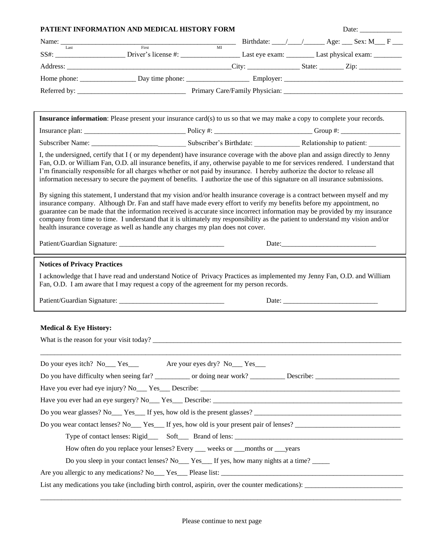| Name: $\frac{1}{\text{Last}}$ Birthdate: $\frac{1}{\text{First}}$ Birthdate: $\frac{1}{\text{Matrix}}$ Age: $\frac{\text{Sex: M}}{\text{First}}$ F<br><b>Insurance information</b> : Please present your insurance card(s) to us so that we may make a copy to complete your records.<br>I, the undersigned, certify that I (or my dependent) have insurance coverage with the above plan and assign directly to Jenny<br>Fan, O.D. or William Fan, O.D. all insurance benefits, if any, otherwise payable to me for services rendered. I understand that<br>I'm financially responsible for all charges whether or not paid by insurance. I hereby authorize the doctor to release all<br>information necessary to secure the payment of benefits. I authorize the use of this signature on all insurance submissions.<br>By signing this statement, I understand that my vision and/or health insurance coverage is a contract between myself and my<br>insurance company. Although Dr. Fan and staff have made every effort to verify my benefits before my appointment, no<br>guarantee can be made that the information received is accurate since incorrect information may be provided by my insurance<br>company from time to time. I understand that it is ultimately my responsibility as the patient to understand my vision and/or<br>health insurance coverage as well as handle any charges my plan does not cover.<br>Date:<br><b>Notices of Privacy Practices</b><br>I acknowledge that I have read and understand Notice of Privacy Practices as implemented my Jenny Fan, O.D. and William<br>Fan, O.D. I am aware that I may request a copy of the agreement for my person records.<br><b>Medical &amp; Eye History:</b><br>What is the reason for your visit today?<br>Do your eyes itch? No Yes Yes Are your eyes dry? No Yes<br>Do you wear contact lenses? No Yes If yes, how old is your present pair of lenses?<br>How often do you replace your lenses? Every ___ weeks or __months or __years<br>Do you sleep in your contact lenses? No ___ Yes __ If yes, how many nights at a time? _____<br>List any medications you take (including birth control, aspirin, over the counter medications): | PATIENT INFORMATION AND MEDICAL HISTORY FORM |  |  | Date: |  |  |
|----------------------------------------------------------------------------------------------------------------------------------------------------------------------------------------------------------------------------------------------------------------------------------------------------------------------------------------------------------------------------------------------------------------------------------------------------------------------------------------------------------------------------------------------------------------------------------------------------------------------------------------------------------------------------------------------------------------------------------------------------------------------------------------------------------------------------------------------------------------------------------------------------------------------------------------------------------------------------------------------------------------------------------------------------------------------------------------------------------------------------------------------------------------------------------------------------------------------------------------------------------------------------------------------------------------------------------------------------------------------------------------------------------------------------------------------------------------------------------------------------------------------------------------------------------------------------------------------------------------------------------------------------------------------------------------------------------------------------------------------------------------------------------------------------------------------------------------------------------------------------------------------------------------------------------------------------------------------------------------------------------------------------------------------------------------------------------------------------------------------------------------------------------------------------------------------------------------------------|----------------------------------------------|--|--|-------|--|--|
|                                                                                                                                                                                                                                                                                                                                                                                                                                                                                                                                                                                                                                                                                                                                                                                                                                                                                                                                                                                                                                                                                                                                                                                                                                                                                                                                                                                                                                                                                                                                                                                                                                                                                                                                                                                                                                                                                                                                                                                                                                                                                                                                                                                                                            |                                              |  |  |       |  |  |
|                                                                                                                                                                                                                                                                                                                                                                                                                                                                                                                                                                                                                                                                                                                                                                                                                                                                                                                                                                                                                                                                                                                                                                                                                                                                                                                                                                                                                                                                                                                                                                                                                                                                                                                                                                                                                                                                                                                                                                                                                                                                                                                                                                                                                            |                                              |  |  |       |  |  |
|                                                                                                                                                                                                                                                                                                                                                                                                                                                                                                                                                                                                                                                                                                                                                                                                                                                                                                                                                                                                                                                                                                                                                                                                                                                                                                                                                                                                                                                                                                                                                                                                                                                                                                                                                                                                                                                                                                                                                                                                                                                                                                                                                                                                                            |                                              |  |  |       |  |  |
|                                                                                                                                                                                                                                                                                                                                                                                                                                                                                                                                                                                                                                                                                                                                                                                                                                                                                                                                                                                                                                                                                                                                                                                                                                                                                                                                                                                                                                                                                                                                                                                                                                                                                                                                                                                                                                                                                                                                                                                                                                                                                                                                                                                                                            |                                              |  |  |       |  |  |
|                                                                                                                                                                                                                                                                                                                                                                                                                                                                                                                                                                                                                                                                                                                                                                                                                                                                                                                                                                                                                                                                                                                                                                                                                                                                                                                                                                                                                                                                                                                                                                                                                                                                                                                                                                                                                                                                                                                                                                                                                                                                                                                                                                                                                            |                                              |  |  |       |  |  |
|                                                                                                                                                                                                                                                                                                                                                                                                                                                                                                                                                                                                                                                                                                                                                                                                                                                                                                                                                                                                                                                                                                                                                                                                                                                                                                                                                                                                                                                                                                                                                                                                                                                                                                                                                                                                                                                                                                                                                                                                                                                                                                                                                                                                                            |                                              |  |  |       |  |  |
|                                                                                                                                                                                                                                                                                                                                                                                                                                                                                                                                                                                                                                                                                                                                                                                                                                                                                                                                                                                                                                                                                                                                                                                                                                                                                                                                                                                                                                                                                                                                                                                                                                                                                                                                                                                                                                                                                                                                                                                                                                                                                                                                                                                                                            |                                              |  |  |       |  |  |
|                                                                                                                                                                                                                                                                                                                                                                                                                                                                                                                                                                                                                                                                                                                                                                                                                                                                                                                                                                                                                                                                                                                                                                                                                                                                                                                                                                                                                                                                                                                                                                                                                                                                                                                                                                                                                                                                                                                                                                                                                                                                                                                                                                                                                            |                                              |  |  |       |  |  |
|                                                                                                                                                                                                                                                                                                                                                                                                                                                                                                                                                                                                                                                                                                                                                                                                                                                                                                                                                                                                                                                                                                                                                                                                                                                                                                                                                                                                                                                                                                                                                                                                                                                                                                                                                                                                                                                                                                                                                                                                                                                                                                                                                                                                                            |                                              |  |  |       |  |  |
|                                                                                                                                                                                                                                                                                                                                                                                                                                                                                                                                                                                                                                                                                                                                                                                                                                                                                                                                                                                                                                                                                                                                                                                                                                                                                                                                                                                                                                                                                                                                                                                                                                                                                                                                                                                                                                                                                                                                                                                                                                                                                                                                                                                                                            |                                              |  |  |       |  |  |
|                                                                                                                                                                                                                                                                                                                                                                                                                                                                                                                                                                                                                                                                                                                                                                                                                                                                                                                                                                                                                                                                                                                                                                                                                                                                                                                                                                                                                                                                                                                                                                                                                                                                                                                                                                                                                                                                                                                                                                                                                                                                                                                                                                                                                            |                                              |  |  |       |  |  |
|                                                                                                                                                                                                                                                                                                                                                                                                                                                                                                                                                                                                                                                                                                                                                                                                                                                                                                                                                                                                                                                                                                                                                                                                                                                                                                                                                                                                                                                                                                                                                                                                                                                                                                                                                                                                                                                                                                                                                                                                                                                                                                                                                                                                                            |                                              |  |  |       |  |  |
|                                                                                                                                                                                                                                                                                                                                                                                                                                                                                                                                                                                                                                                                                                                                                                                                                                                                                                                                                                                                                                                                                                                                                                                                                                                                                                                                                                                                                                                                                                                                                                                                                                                                                                                                                                                                                                                                                                                                                                                                                                                                                                                                                                                                                            |                                              |  |  |       |  |  |
|                                                                                                                                                                                                                                                                                                                                                                                                                                                                                                                                                                                                                                                                                                                                                                                                                                                                                                                                                                                                                                                                                                                                                                                                                                                                                                                                                                                                                                                                                                                                                                                                                                                                                                                                                                                                                                                                                                                                                                                                                                                                                                                                                                                                                            |                                              |  |  |       |  |  |
|                                                                                                                                                                                                                                                                                                                                                                                                                                                                                                                                                                                                                                                                                                                                                                                                                                                                                                                                                                                                                                                                                                                                                                                                                                                                                                                                                                                                                                                                                                                                                                                                                                                                                                                                                                                                                                                                                                                                                                                                                                                                                                                                                                                                                            |                                              |  |  |       |  |  |
|                                                                                                                                                                                                                                                                                                                                                                                                                                                                                                                                                                                                                                                                                                                                                                                                                                                                                                                                                                                                                                                                                                                                                                                                                                                                                                                                                                                                                                                                                                                                                                                                                                                                                                                                                                                                                                                                                                                                                                                                                                                                                                                                                                                                                            |                                              |  |  |       |  |  |
|                                                                                                                                                                                                                                                                                                                                                                                                                                                                                                                                                                                                                                                                                                                                                                                                                                                                                                                                                                                                                                                                                                                                                                                                                                                                                                                                                                                                                                                                                                                                                                                                                                                                                                                                                                                                                                                                                                                                                                                                                                                                                                                                                                                                                            |                                              |  |  |       |  |  |
|                                                                                                                                                                                                                                                                                                                                                                                                                                                                                                                                                                                                                                                                                                                                                                                                                                                                                                                                                                                                                                                                                                                                                                                                                                                                                                                                                                                                                                                                                                                                                                                                                                                                                                                                                                                                                                                                                                                                                                                                                                                                                                                                                                                                                            |                                              |  |  |       |  |  |
|                                                                                                                                                                                                                                                                                                                                                                                                                                                                                                                                                                                                                                                                                                                                                                                                                                                                                                                                                                                                                                                                                                                                                                                                                                                                                                                                                                                                                                                                                                                                                                                                                                                                                                                                                                                                                                                                                                                                                                                                                                                                                                                                                                                                                            |                                              |  |  |       |  |  |
|                                                                                                                                                                                                                                                                                                                                                                                                                                                                                                                                                                                                                                                                                                                                                                                                                                                                                                                                                                                                                                                                                                                                                                                                                                                                                                                                                                                                                                                                                                                                                                                                                                                                                                                                                                                                                                                                                                                                                                                                                                                                                                                                                                                                                            |                                              |  |  |       |  |  |
|                                                                                                                                                                                                                                                                                                                                                                                                                                                                                                                                                                                                                                                                                                                                                                                                                                                                                                                                                                                                                                                                                                                                                                                                                                                                                                                                                                                                                                                                                                                                                                                                                                                                                                                                                                                                                                                                                                                                                                                                                                                                                                                                                                                                                            |                                              |  |  |       |  |  |
|                                                                                                                                                                                                                                                                                                                                                                                                                                                                                                                                                                                                                                                                                                                                                                                                                                                                                                                                                                                                                                                                                                                                                                                                                                                                                                                                                                                                                                                                                                                                                                                                                                                                                                                                                                                                                                                                                                                                                                                                                                                                                                                                                                                                                            |                                              |  |  |       |  |  |
|                                                                                                                                                                                                                                                                                                                                                                                                                                                                                                                                                                                                                                                                                                                                                                                                                                                                                                                                                                                                                                                                                                                                                                                                                                                                                                                                                                                                                                                                                                                                                                                                                                                                                                                                                                                                                                                                                                                                                                                                                                                                                                                                                                                                                            |                                              |  |  |       |  |  |
|                                                                                                                                                                                                                                                                                                                                                                                                                                                                                                                                                                                                                                                                                                                                                                                                                                                                                                                                                                                                                                                                                                                                                                                                                                                                                                                                                                                                                                                                                                                                                                                                                                                                                                                                                                                                                                                                                                                                                                                                                                                                                                                                                                                                                            |                                              |  |  |       |  |  |
|                                                                                                                                                                                                                                                                                                                                                                                                                                                                                                                                                                                                                                                                                                                                                                                                                                                                                                                                                                                                                                                                                                                                                                                                                                                                                                                                                                                                                                                                                                                                                                                                                                                                                                                                                                                                                                                                                                                                                                                                                                                                                                                                                                                                                            |                                              |  |  |       |  |  |
|                                                                                                                                                                                                                                                                                                                                                                                                                                                                                                                                                                                                                                                                                                                                                                                                                                                                                                                                                                                                                                                                                                                                                                                                                                                                                                                                                                                                                                                                                                                                                                                                                                                                                                                                                                                                                                                                                                                                                                                                                                                                                                                                                                                                                            |                                              |  |  |       |  |  |
|                                                                                                                                                                                                                                                                                                                                                                                                                                                                                                                                                                                                                                                                                                                                                                                                                                                                                                                                                                                                                                                                                                                                                                                                                                                                                                                                                                                                                                                                                                                                                                                                                                                                                                                                                                                                                                                                                                                                                                                                                                                                                                                                                                                                                            |                                              |  |  |       |  |  |